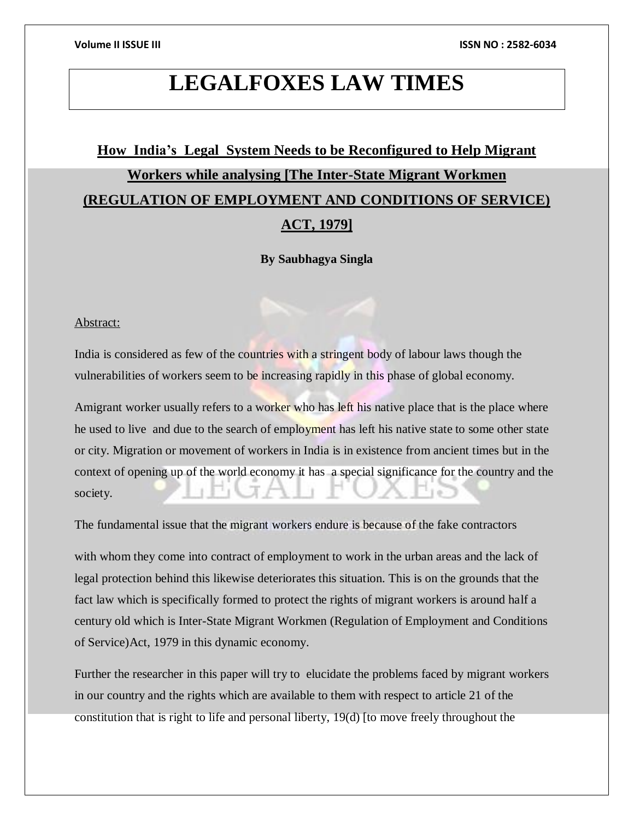## **LEGALFOXES LAW TIMES**

## **How India's Legal System Needs to be Reconfigured to Help Migrant Workers while analysing [The Inter-State Migrant Workmen (REGULATION OF EMPLOYMENT AND CONDITIONS OF SERVICE) ACT, 1979]**

**By Saubhagya Singla**

#### Abstract:

India is considered as few of the countries with a stringent body of labour laws though the vulnerabilities of workers seem to be increasing rapidly in this phase of global economy.

Amigrant worker usually refers to a worker who has left his native place that is the place where he used to live and due to the search of employment has left his native state to some other state or city. Migration or movement of workers in India is in existence from ancient times but in the context of opening up of the world economy it has a special significance for the country and the society.

The fundamental issue that the migrant workers endure is because of the fake contractors

with whom they come into contract of employment to work in the urban areas and the lack of legal protection behind this likewise deteriorates this situation. This is on the grounds that the fact law which is specifically formed to protect the rights of migrant workers is around half a century old which is Inter-State Migrant Workmen (Regulation of Employment and Conditions of Service)Act, 1979 in this dynamic economy.

Further the researcher in this paper will try to elucidate the problems faced by migrant workers in our country and the rights which are available to them with respect to article 21 of the constitution that is right to life and personal liberty, 19(d) [to move freely throughout the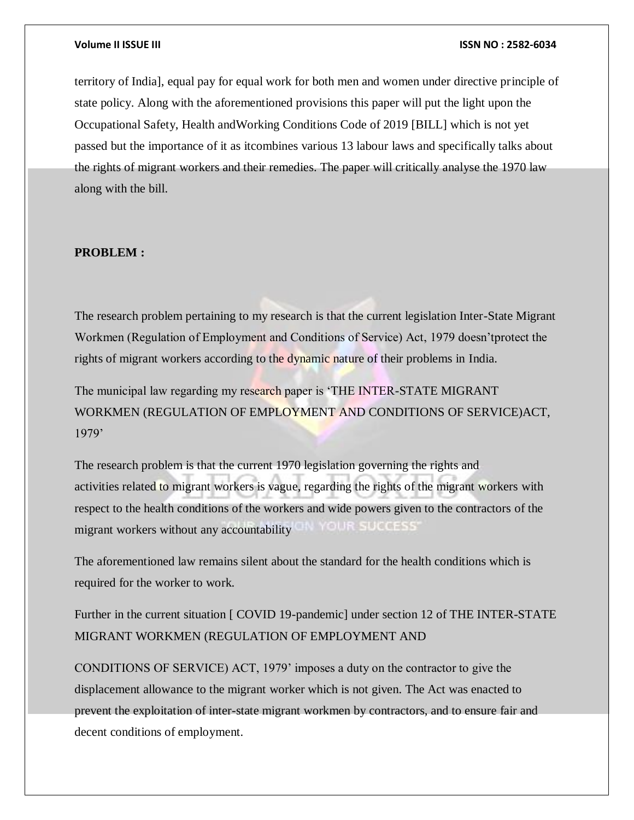territory of India], equal pay for equal work for both men and women under directive principle of state policy. Along with the aforementioned provisions this paper will put the light upon the Occupational Safety, Health andWorking Conditions Code of 2019 [BILL] which is not yet passed but the importance of it as itcombines various 13 labour laws and specifically talks about the rights of migrant workers and their remedies. The paper will critically analyse the 1970 law along with the bill.

#### **PROBLEM :**

The research problem pertaining to my research is that the current legislation Inter-State Migrant Workmen (Regulation of Employment and Conditions of Service) Act, 1979 doesn'tprotect the rights of migrant workers according to the dynamic nature of their problems in India.

The municipal law regarding my research paper is 'THE INTER-STATE MIGRANT WORKMEN (REGULATION OF EMPLOYMENT AND CONDITIONS OF SERVICE)ACT, 1979'

The research problem is that the current 1970 legislation governing the rights and activities related to migrant workers is vague, regarding the rights of the migrant workers with respect to the health conditions of the workers and wide powers given to the contractors of the migrant workers without any accountability 8-19 0 0 5-5-5

The aforementioned law remains silent about the standard for the health conditions which is required for the worker to work.

Further in the current situation [ COVID 19-pandemic] under section 12 of THE INTER-STATE MIGRANT WORKMEN (REGULATION OF EMPLOYMENT AND

CONDITIONS OF SERVICE) ACT, 1979' imposes a duty on the contractor to give the displacement allowance to the migrant worker which is not given. The Act was enacted to prevent the exploitation of inter-state migrant workmen by contractors, and to ensure fair and decent conditions of employment.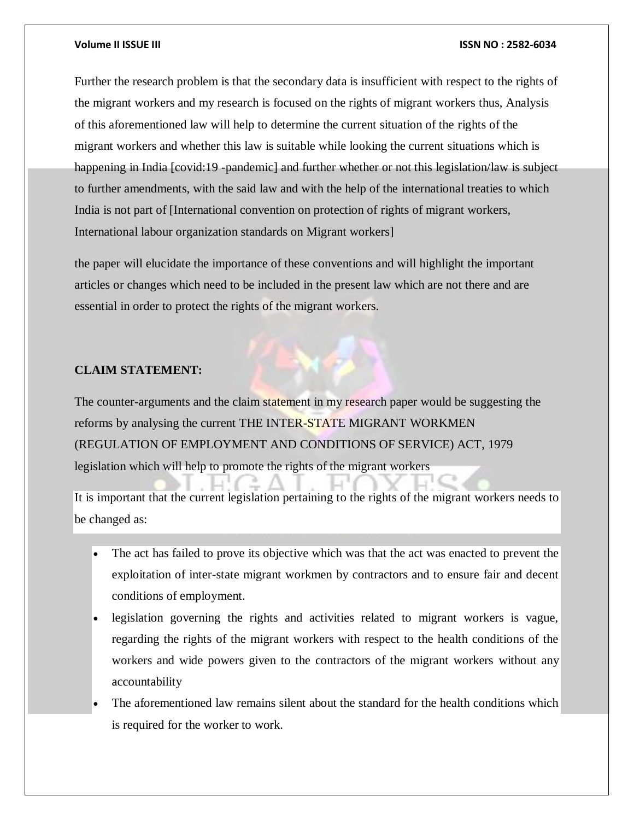Further the research problem is that the secondary data is insufficient with respect to the rights of the migrant workers and my research is focused on the rights of migrant workers thus, Analysis of this aforementioned law will help to determine the current situation of the rights of the migrant workers and whether this law is suitable while looking the current situations which is happening in India [covid:19 -pandemic] and further whether or not this legislation/law is subject to further amendments, with the said law and with the help of the international treaties to which India is not part of [International convention on protection of rights of migrant workers, International labour organization standards on Migrant workers]

the paper will elucidate the importance of these conventions and will highlight the important articles or changes which need to be included in the present law which are not there and are essential in order to protect the rights of the migrant workers.

### **CLAIM STATEMENT:**

The counter-arguments and the claim statement in my research paper would be suggesting the reforms by analysing the current THE INTER-STATE MIGRANT WORKMEN (REGULATION OF EMPLOYMENT AND CONDITIONS OF SERVICE) ACT, 1979 legislation which will help to promote the rights of the migrant workers

It is important that the current legislation pertaining to the rights of the migrant workers needs to be changed as:

- The act has failed to prove its objective which was that the act was enacted to prevent the exploitation of inter-state migrant workmen by contractors and to ensure fair and decent conditions of employment.
- legislation governing the rights and activities related to migrant workers is vague, regarding the rights of the migrant workers with respect to the health conditions of the workers and wide powers given to the contractors of the migrant workers without any accountability
- The aforementioned law remains silent about the standard for the health conditions which is required for the worker to work.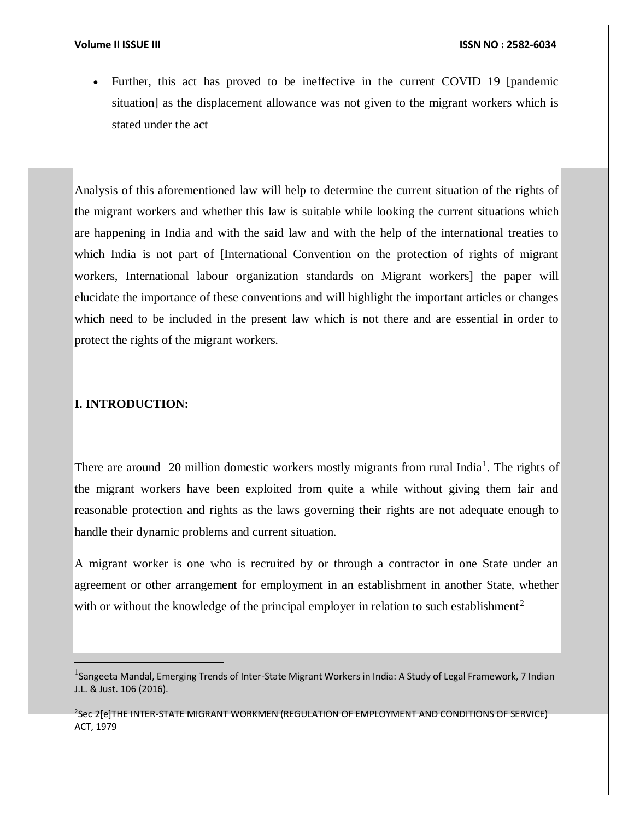Further, this act has proved to be ineffective in the current COVID 19 [pandemic situation] as the displacement allowance was not given to the migrant workers which is stated under the act

Analysis of this aforementioned law will help to determine the current situation of the rights of the migrant workers and whether this law is suitable while looking the current situations which are happening in India and with the said law and with the help of the international treaties to which India is not part of [International Convention on the protection of rights of migrant workers, International labour organization standards on Migrant workers] the paper will elucidate the importance of these conventions and will highlight the important articles or changes which need to be included in the present law which is not there and are essential in order to protect the rights of the migrant workers.

## **I. INTRODUCTION:**

 $\overline{a}$ 

There are around 20 million domestic workers mostly migrants from rural India<sup>1</sup>. The rights of the migrant workers have been exploited from quite a while without giving them fair and reasonable protection and rights as the laws governing their rights are not adequate enough to handle their dynamic problems and current situation.

A migrant worker is one who is recruited by or through a contractor in one State under an agreement or other arrangement for employment in an establishment in another State, whether with or without the knowledge of the principal employer in relation to such establishment<sup>2</sup>

2 Sec 2[e]THE INTER-STATE MIGRANT WORKMEN (REGULATION OF EMPLOYMENT AND CONDITIONS OF SERVICE) ACT, 1979

<sup>&</sup>lt;sup>1</sup>Sangeeta Mandal, Emerging Trends of Inter-State Migrant Workers in India: A Study of Legal Framework, 7 Indian J.L. & Just. 106 (2016).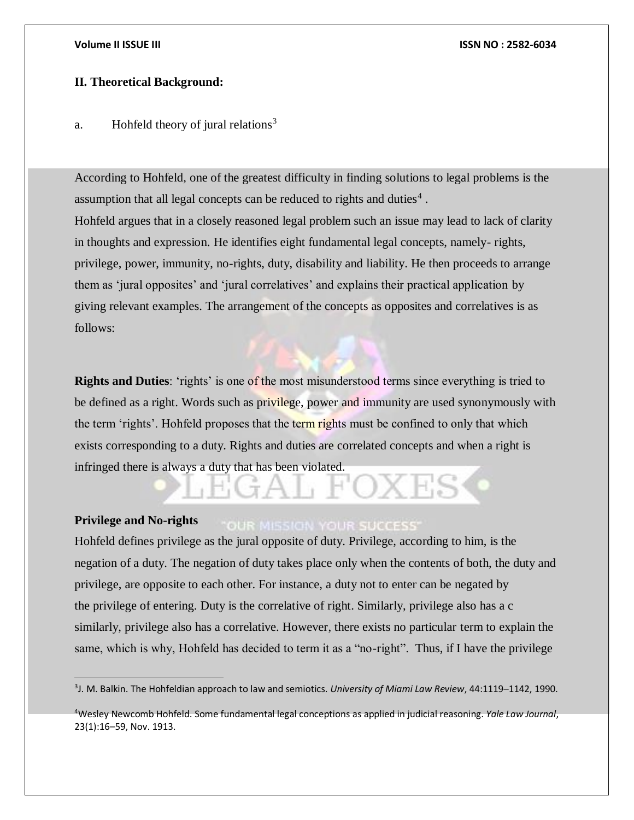$\overline{a}$ 

## **II. Theoretical Background:**

## a. Hohfeld theory of jural relations<sup>3</sup>

According to Hohfeld, one of the greatest difficulty in finding solutions to legal problems is the assumption that all legal concepts can be reduced to rights and duties<sup>4</sup>. Hohfeld argues that in a closely reasoned legal problem such an issue may lead to lack of clarity in thoughts and expression. He identifies eight fundamental legal concepts, namely- rights, privilege, power, immunity, no-rights, duty, disability and liability. He then proceeds to arrange them as 'jural opposites' and 'jural correlatives' and explains their practical application by giving relevant examples. The arrangement of the concepts as opposites and correlatives is as follows:

**Rights and Duties**: 'rights' is one of the most misunderstood terms since everything is tried to be defined as a right. Words such as privilege, power and immunity are used synonymously with the term 'rights'. Hohfeld proposes that the term rights must be confined to only that which exists corresponding to a duty. Rights and duties are correlated concepts and when a right is infringed there is always a duty that has been violated.

#### **Privilege and No-rights OUR MISSION YOUR SUCCESS'**

Hohfeld defines privilege as the jural opposite of duty. Privilege, according to him, is the negation of a duty. The negation of duty takes place only when the contents of both, the duty and privilege, are opposite to each other. For instance, a duty not to enter can be negated by the privilege of entering. Duty is the correlative of right. Similarly, privilege also has a c similarly, privilege also has a correlative. However, there exists no particular term to explain the same, which is why, Hohfeld has decided to term it as a "no-right". Thus, if I have the privilege

<sup>3</sup> J. M. Balkin. The Hohfeldian approach to law and semiotics. *University of Miami Law Review*, 44:1119–1142, 1990.

<sup>4</sup>Wesley Newcomb Hohfeld. Some fundamental legal conceptions as applied in judicial reasoning. *Yale Law Journal*, 23(1):16–59, Nov. 1913.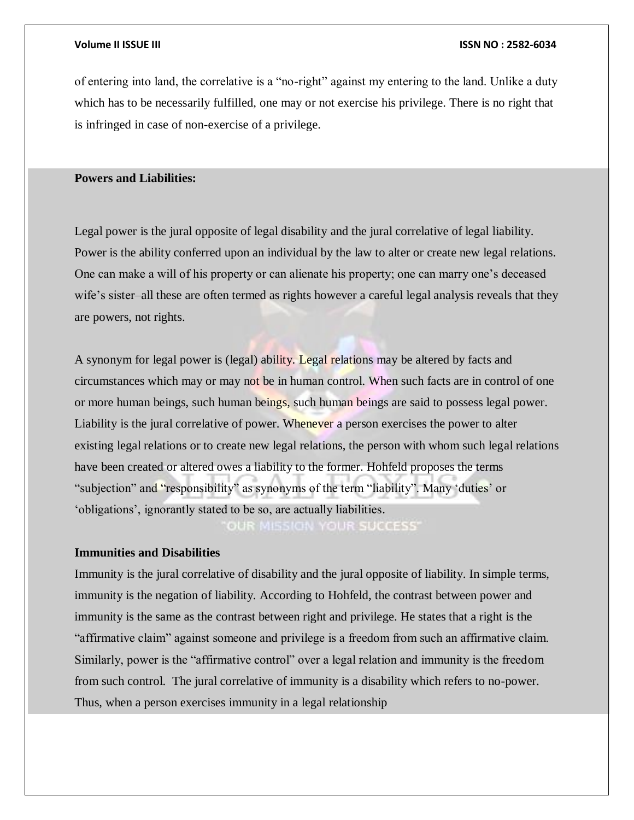of entering into land, the correlative is a "no-right" against my entering to the land. Unlike a duty which has to be necessarily fulfilled, one may or not exercise his privilege. There is no right that is infringed in case of non-exercise of a privilege.

#### **Powers and Liabilities:**

Legal power is the jural opposite of legal disability and the jural correlative of legal liability. Power is the ability conferred upon an individual by the law to alter or create new legal relations. One can make a will of his property or can alienate his property; one can marry one's deceased wife's sister–all these are often termed as rights however a careful legal analysis reveals that they are powers, not rights.

A synonym for legal power is (legal) ability. Legal relations may be altered by facts and circumstances which may or may not be in human control. When such facts are in control of one or more human beings, such human beings, such human beings are said to possess legal power. Liability is the jural correlative of power. Whenever a person exercises the power to alter existing legal relations or to create new legal relations, the person with whom such legal relations have been created or altered owes a liability to the former. Hohfeld proposes the terms "subjection" and "responsibility" as synonyms of the term "liability". Many 'duties' or 'obligations', ignorantly stated to be so, are actually liabilities.

OUR MISSION YOUR SUCCESS'

## **Immunities and Disabilities**

Immunity is the jural correlative of disability and the jural opposite of liability. In simple terms, immunity is the negation of liability. According to Hohfeld, the contrast between power and immunity is the same as the contrast between right and privilege. He states that a right is the "affirmative claim" against someone and privilege is a freedom from such an affirmative claim. Similarly, power is the "affirmative control" over a legal relation and immunity is the freedom from such control. The jural correlative of immunity is a disability which refers to no-power. Thus, when a person exercises immunity in a legal relationship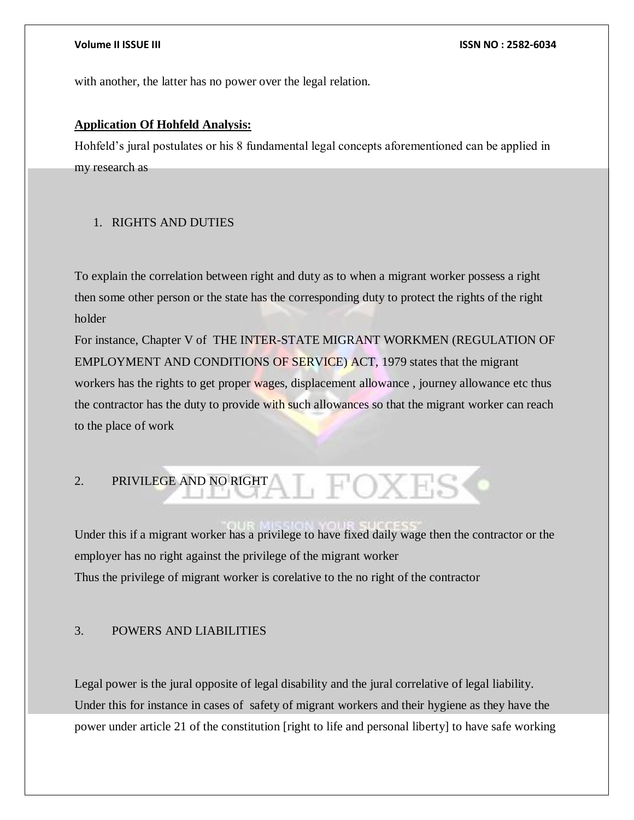with another, the latter has no power over the legal relation.

## **Application Of Hohfeld Analysis:**

Hohfeld's jural postulates or his 8 fundamental legal concepts aforementioned can be applied in my research as

## 1. RIGHTS AND DUTIES

To explain the correlation between right and duty as to when a migrant worker possess a right then some other person or the state has the corresponding duty to protect the rights of the right holder

For instance, Chapter V of THE INTER-STATE MIGRANT WORKMEN (REGULATION OF EMPLOYMENT AND CONDITIONS OF SERVICE) ACT, 1979 states that the migrant workers has the rights to get proper wages, displacement allowance , journey allowance etc thus the contractor has the duty to provide with such allowances so that the migrant worker can reach to the place of work

# 2. PRIVILEGE AND NO RIGHT

Under this if a migrant worker has a privilege to have fixed daily wage then the contractor or the employer has no right against the privilege of the migrant worker Thus the privilege of migrant worker is corelative to the no right of the contractor

## 3. POWERS AND LIABILITIES

Legal power is the jural opposite of legal disability and the jural correlative of legal liability. Under this for instance in cases of safety of migrant workers and their hygiene as they have the power under article 21 of the constitution [right to life and personal liberty] to have safe working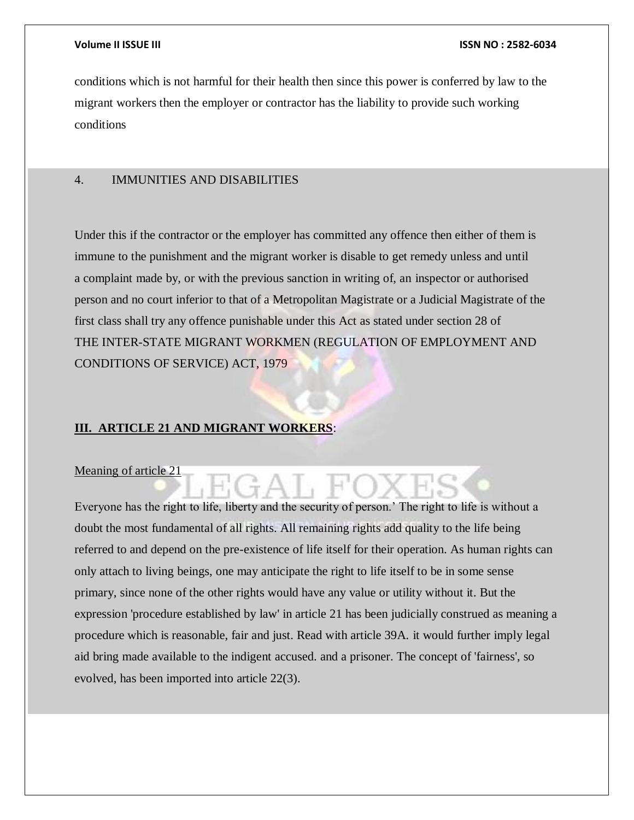conditions which is not harmful for their health then since this power is conferred by law to the migrant workers then the employer or contractor has the liability to provide such working conditions

## 4. IMMUNITIES AND DISABILITIES

Under this if the contractor or the employer has committed any offence then either of them is immune to the punishment and the migrant worker is disable to get remedy unless and until a complaint made by, or with the previous sanction in writing of, an inspector or authorised person and no court inferior to that of a Metropolitan Magistrate or a Judicial Magistrate of the first class shall try any offence punishable under this Act as stated under section 28 of THE INTER-STATE MIGRANT WORKMEN (REGULATION OF EMPLOYMENT AND CONDITIONS OF SERVICE) ACT, 1979

#### **III. ARTICLE 21 AND MIGRANT WORKERS**:

#### Meaning of article 21

Everyone has the right to life, liberty and the security of person.' The right to life is without a doubt the most fundamental of all rights. All remaining rights add quality to the life being referred to and depend on the pre-existence of life itself for their operation. As human rights can only attach to living beings, one may anticipate the right to life itself to be in some sense primary, since none of the other rights would have any value or utility without it. But the expression 'procedure established by law' in article 21 has been judicially construed as meaning a procedure which is reasonable, fair and just. Read with article 39A. it would further imply legal aid bring made available to the indigent accused. and a prisoner. The concept of 'fairness', so evolved, has been imported into article 22(3).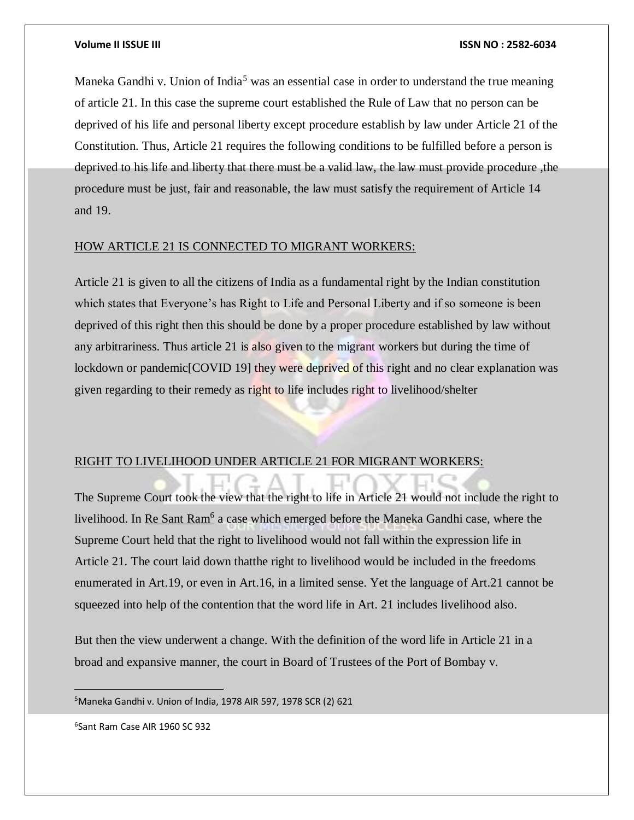Maneka Gandhi v. Union of India<sup>5</sup> was an essential case in order to understand the true meaning of article 21. In this case the supreme court established the Rule of Law that no person can be deprived of his life and personal liberty except procedure establish by law under Article 21 of the Constitution. Thus, Article 21 requires the following conditions to be fulfilled before a person is deprived to his life and liberty that there must be a valid law, the law must provide procedure ,the procedure must be just, fair and reasonable, the law must satisfy the requirement of Article 14 and 19.

#### HOW ARTICLE 21 IS CONNECTED TO MIGRANT WORKERS:

Article 21 is given to all the citizens of India as a fundamental right by the Indian constitution which states that Everyone's has Right to Life and Personal Liberty and if so someone is been deprived of this right then this should be done by a proper procedure established by law without any arbitrariness. Thus article 21 is also given to the migrant workers but during the time of lockdown or pandemic[COVID 19] they were deprived of this right and no clear explanation was given regarding to their remedy as right to life includes right to livelihood/shelter

#### RIGHT TO LIVELIHOOD UNDER ARTICLE 21 FOR MIGRANT WORKERS:

The Supreme Court took the view that the right to life in Article 21 would not include the right to livelihood. In Re Sant Ram<sup>6</sup> a case which emerged before the Maneka Gandhi case, where the Supreme Court held that the right to livelihood would not fall within the expression life in Article 21. The court laid down thatthe right to livelihood would be included in the freedoms enumerated in Art.19, or even in Art.16, in a limited sense. Yet the language of Art.21 cannot be squeezed into help of the contention that the word life in Art. 21 includes livelihood also.

But then the view underwent a change. With the definition of the word life in Article 21 in a broad and expansive manner, the court in Board of Trustees of the Port of Bombay v.

<sup>5</sup>Maneka Gandhi v. Union of India, 1978 AIR 597, 1978 SCR (2) 621

6 Sant Ram Case AIR 1960 SC 932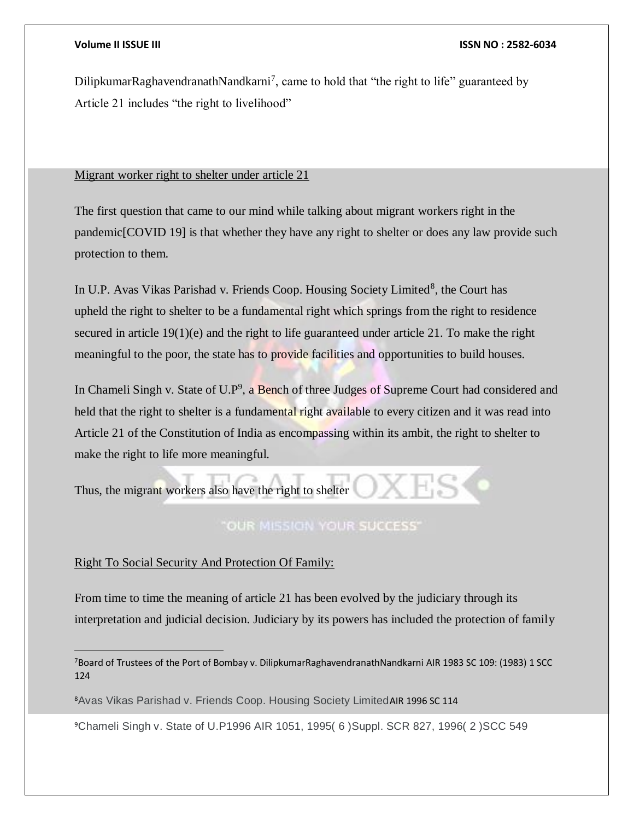DilipkumarRaghavendranathNandkarni<sup>7</sup>, came to hold that "the right to life" guaranteed by Article 21 includes "the right to livelihood"

#### Migrant worker right to shelter under article 21

The first question that came to our mind while talking about migrant workers right in the pandemic[COVID 19] is that whether they have any right to shelter or does any law provide such protection to them.

In U.P. Avas Vikas Parishad v. Friends Coop. Housing Society Limited<sup>8</sup>, the Court has upheld the right to shelter to be a fundamental right which springs from the right to residence secured in article 19(1)(e) and the right to life guaranteed under article 21. To make the right meaningful to the poor, the state has to provide facilities and opportunities to build houses.

In Chameli Singh v. State of U.P<sup>9</sup>, a Bench of three Judges of Supreme Court had considered and held that the right to shelter is a fundamental right available to every citizen and it was read into Article 21 of the Constitution of India as encompassing within its ambit, the right to shelter to make the right to life more meaningful.

Thus, the migrant workers also have the right to shelter

## **OUR MISSION YOUR SUCCESS'**

#### Right To Social Security And Protection Of Family:

 $\overline{a}$ 

From time to time the meaning of article 21 has been evolved by the judiciary through its interpretation and judicial decision. Judiciary by its powers has included the protection of family

<sup>8</sup>Avas Vikas Parishad v. Friends Coop. Housing Society LimitedAIR 1996 SC 114

9Chameli Singh v. State of U.P1996 AIR 1051, 1995( 6 )Suppl. SCR 827, 1996( 2 )SCC 549

<sup>7</sup>Board of Trustees of the Port of Bombay v. DilipkumarRaghavendranathNandkarni AIR 1983 SC 109: (1983) 1 SCC 124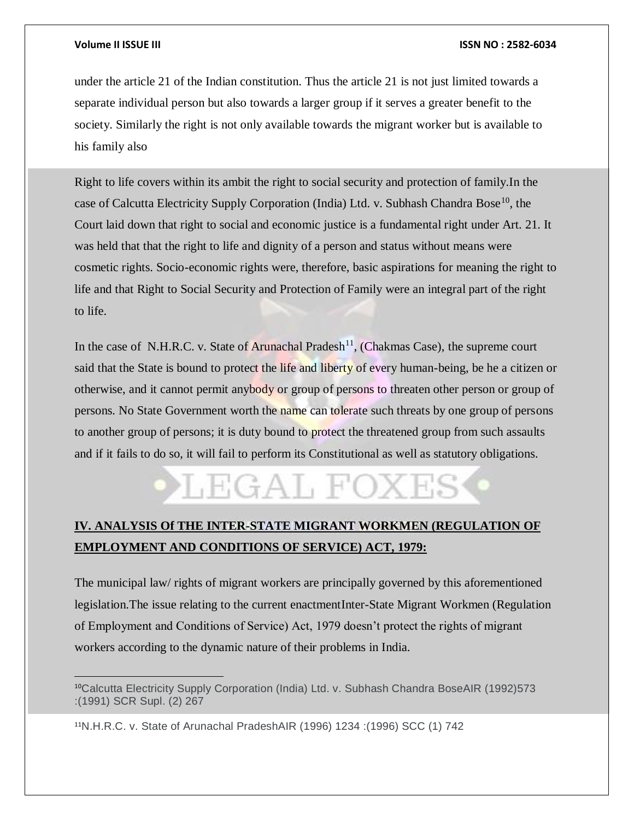$\overline{a}$ 

#### **Volume II ISSUE III ISSN NO : 2582-6034**

under the article 21 of the Indian constitution. Thus the article 21 is not just limited towards a separate individual person but also towards a larger group if it serves a greater benefit to the society. Similarly the right is not only available towards the migrant worker but is available to his family also

Right to life covers within its ambit the right to social security and protection of family.In the case of Calcutta Electricity Supply Corporation (India) Ltd. v. Subhash Chandra Bose<sup>10</sup>, the Court laid down that right to social and economic justice is a fundamental right under Art. 21. It was held that that the right to life and dignity of a person and status without means were cosmetic rights. Socio-economic rights were, therefore, basic aspirations for meaning the right to life and that Right to Social Security and Protection of Family were an integral part of the right to life.

In the case of N.H.R.C. v. State of Arunachal Pradesh<sup>11</sup>, (Chakmas Case), the supreme court said that the State is bound to protect the life and liberty of every human-being, be he a citizen or otherwise, and it cannot permit anybody or group of persons to threaten other person or group of persons. No State Government worth the name can tolerate such threats by one group of persons to another group of persons; it is duty bound to protect the threatened group from such assaults and if it fails to do so, it will fail to perform its Constitutional as well as statutory obligations.

# LEGAL F

## **IV. ANALYSIS Of THE INTER-STATE MIGRANT WORKMEN (REGULATION OF EMPLOYMENT AND CONDITIONS OF SERVICE) ACT, 1979:**

The municipal law/ rights of migrant workers are principally governed by this aforementioned legislation.The issue relating to the current enactmentInter-State Migrant Workmen (Regulation of Employment and Conditions of Service) Act, 1979 doesn't protect the rights of migrant workers according to the dynamic nature of their problems in India.

<sup>10</sup>Calcutta Electricity Supply Corporation (India) Ltd. v. Subhash Chandra BoseAIR (1992)573 :(1991) SCR Supl. (2) 267

<sup>11</sup>N.H.R.C. v. State of Arunachal PradeshAIR (1996) 1234 :(1996) SCC (1) 742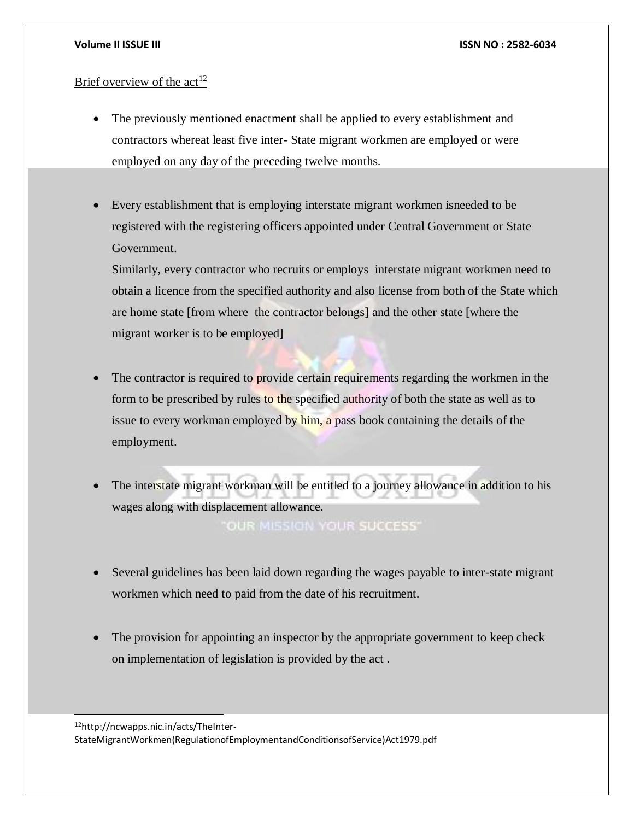## Brief overview of the  $act<sup>12</sup>$

- The previously mentioned enactment shall be applied to every establishment and contractors whereat least five inter- State migrant workmen are employed or were employed on any day of the preceding twelve months.
- Every establishment that is employing interstate migrant workmen isneeded to be registered with the registering officers appointed under Central Government or State Government.

Similarly, every contractor who recruits or employs interstate migrant workmen need to obtain a licence from the specified authority and also license from both of the State which are home state [from where the contractor belongs] and the other state [where the migrant worker is to be employed]

The contractor is required to provide certain requirements regarding the workmen in the form to be prescribed by rules to the specified authority of both the state as well as to issue to every workman employed by him, a pass book containing the details of the employment.

 The interstate migrant workman will be entitled to a journey allowance in addition to his wages along with displacement allowance.

**OUR MISSION YOUR SUCCESS'** 

- Several guidelines has been laid down regarding the wages payable to inter-state migrant workmen which need to paid from the date of his recruitment.
- The provision for appointing an inspector by the appropriate government to keep check on implementation of legislation is provided by the act .

12http://ncwapps.nic.in/acts/TheInter-

l

StateMigrantWorkmen(RegulationofEmploymentandConditionsofService)Act1979.pdf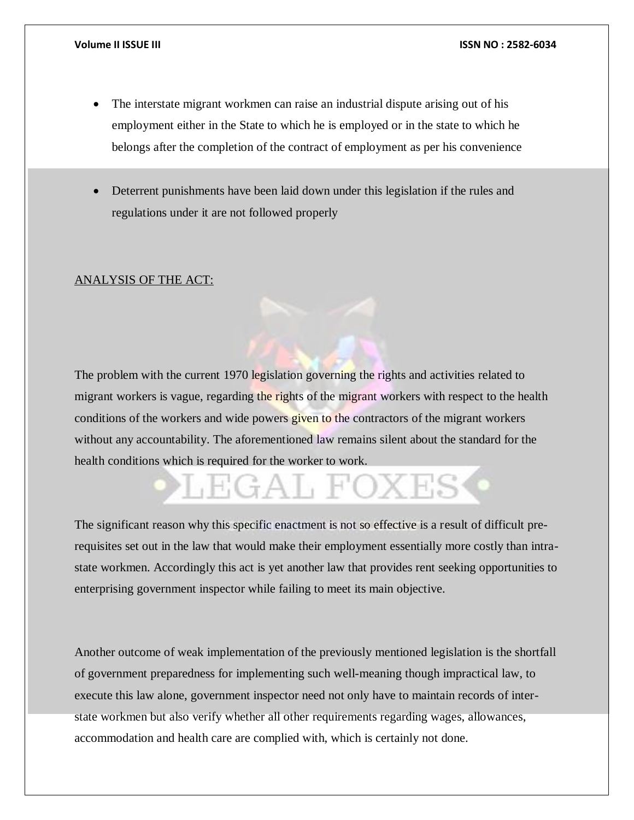- The interstate migrant workmen can raise an industrial dispute arising out of his employment either in the State to which he is employed or in the state to which he belongs after the completion of the contract of employment as per his convenience
- Deterrent punishments have been laid down under this legislation if the rules and regulations under it are not followed properly

#### ANALYSIS OF THE ACT:

The problem with the current 1970 legislation governing the rights and activities related to migrant workers is vague, regarding the rights of the migrant workers with respect to the health conditions of the workers and wide powers given to the contractors of the migrant workers without any accountability. The aforementioned law remains silent about the standard for the health conditions which is required for the worker to work.

# GAL FOX E

The significant reason why this specific enactment is not so effective is a result of difficult prerequisites set out in the law that would make their employment essentially more costly than intrastate workmen. Accordingly this act is yet another law that provides rent seeking opportunities to enterprising government inspector while failing to meet its main objective.

Another outcome of weak implementation of the previously mentioned legislation is the shortfall of government preparedness for implementing such well-meaning though impractical law, to execute this law alone, government inspector need not only have to maintain records of interstate workmen but also verify whether all other requirements regarding wages, allowances, accommodation and health care are complied with, which is certainly not done.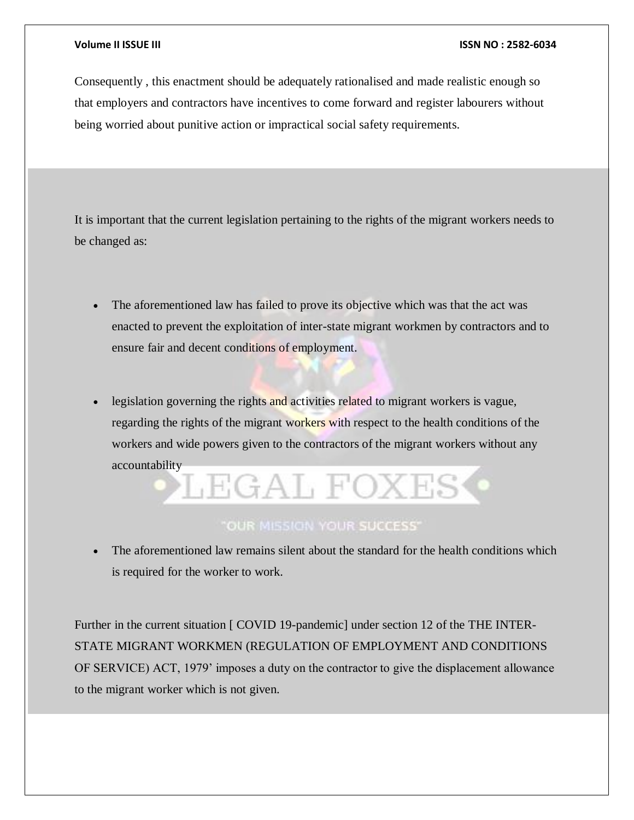Consequently , this enactment should be adequately rationalised and made realistic enough so that employers and contractors have incentives to come forward and register labourers without being worried about punitive action or impractical social safety requirements.

It is important that the current legislation pertaining to the rights of the migrant workers needs to be changed as:

- The aforementioned law has failed to prove its objective which was that the act was enacted to prevent the exploitation of inter-state migrant workmen by contractors and to ensure fair and decent conditions of employment.
- legislation governing the rights and activities related to migrant workers is vague, regarding the rights of the migrant workers with respect to the health conditions of the workers and wide powers given to the contractors of the migrant workers without any accountability

# LEGAL FOXI

## "OUR MISSION YOUR SUCCESS"

 The aforementioned law remains silent about the standard for the health conditions which is required for the worker to work.

Further in the current situation [ COVID 19-pandemic] under section 12 of the THE INTER-STATE MIGRANT WORKMEN (REGULATION OF EMPLOYMENT AND CONDITIONS OF SERVICE) ACT, 1979' imposes a duty on the contractor to give the displacement allowance to the migrant worker which is not given.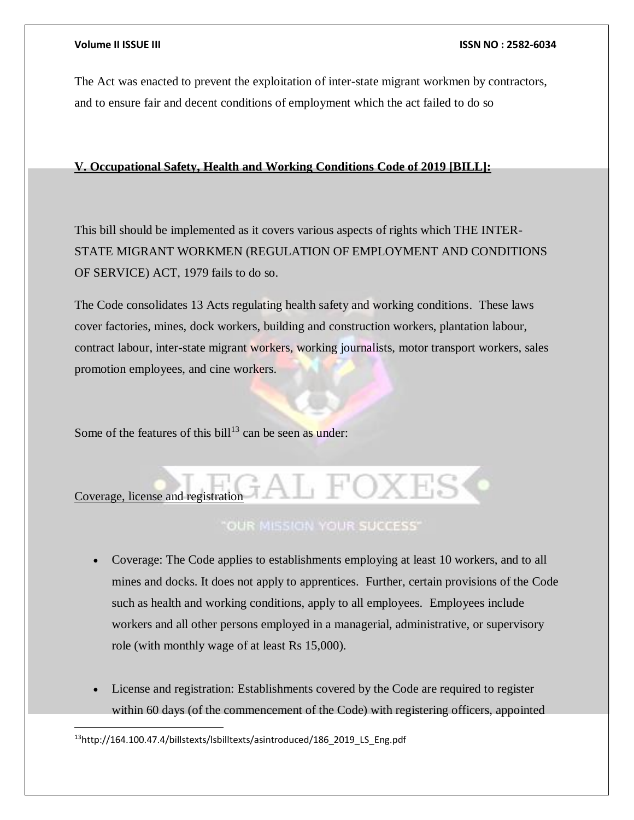The Act was enacted to prevent the exploitation of inter-state migrant workmen by contractors, and to ensure fair and decent conditions of employment which the act failed to do so

## **V. Occupational Safety, Health and Working Conditions Code of 2019 [BILL]:**

This bill should be implemented as it covers various aspects of rights which THE INTER-STATE MIGRANT WORKMEN (REGULATION OF EMPLOYMENT AND CONDITIONS OF SERVICE) ACT, 1979 fails to do so.

The Code consolidates 13 Acts regulating health safety and working conditions. These laws cover factories, mines, dock workers, building and construction workers, plantation labour, contract labour, inter-state migrant workers, working journalists, motor transport workers, sales promotion employees, and cine workers.

Some of the features of this bill<sup>13</sup> can be seen as under:

# $\frac{1}{2}$  Coverage, license and registration

## **"OUR MISSION YOUR SUCCESS"**

- Coverage: The Code applies to establishments employing at least 10 workers, and to all mines and docks. It does not apply to apprentices. Further, certain provisions of the Code such as health and working conditions, apply to all employees. Employees include workers and all other persons employed in a managerial, administrative, or supervisory role (with monthly wage of at least Rs 15,000).
- License and registration: Establishments covered by the Code are required to register within 60 days (of the commencement of the Code) with registering officers, appointed

13http://164.100.47.4/billstexts/lsbilltexts/asintroduced/186\_2019\_LS\_Eng.pdf

 $\overline{a}$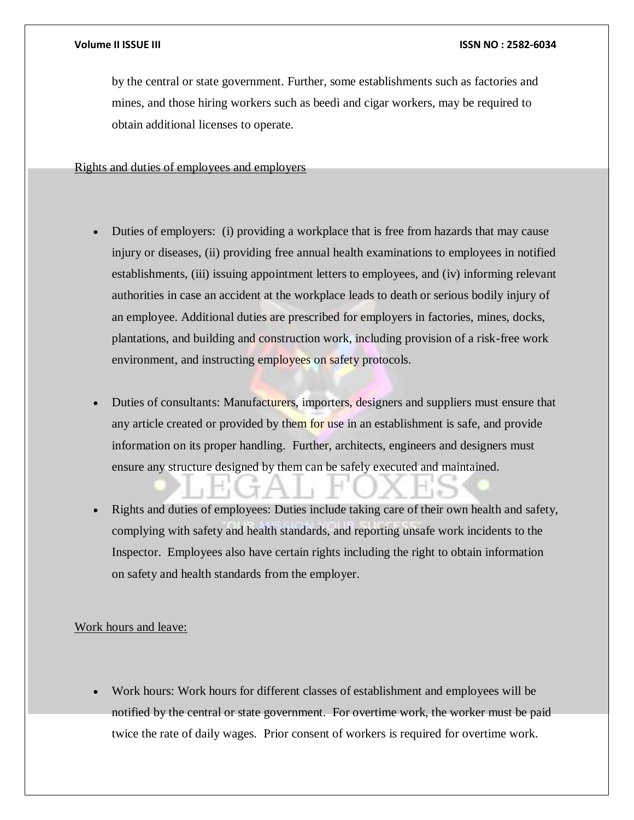by the central or state government. Further, some establishments such as factories and mines, and those hiring workers such as beedi and cigar workers, may be required to obtain additional licenses to operate.

Rights and duties of employees and employers

- Duties of employers: (i) providing a workplace that is free from hazards that may cause injury or diseases, (ii) providing free annual health examinations to employees in notified establishments, (iii) issuing appointment letters to employees, and (iv) informing relevant authorities in case an accident at the workplace leads to death or serious bodily injury of an employee. Additional duties are prescribed for employers in factories, mines, docks, plantations, and building and construction work, including provision of a risk-free work environment, and instructing employees on safety protocols.
- Duties of consultants: Manufacturers, importers, designers and suppliers must ensure that any article created or provided by them for use in an establishment is safe, and provide information on its proper handling. Further, architects, engineers and designers must ensure any structure designed by them can be safely executed and maintained.
- Rights and duties of employees: Duties include taking care of their own health and safety, complying with safety and health standards, and reporting unsafe work incidents to the Inspector. Employees also have certain rights including the right to obtain information on safety and health standards from the employer.

#### Work hours and leave:

 Work hours: Work hours for different classes of establishment and employees will be notified by the central or state government. For overtime work, the worker must be paid twice the rate of daily wages. Prior consent of workers is required for overtime work.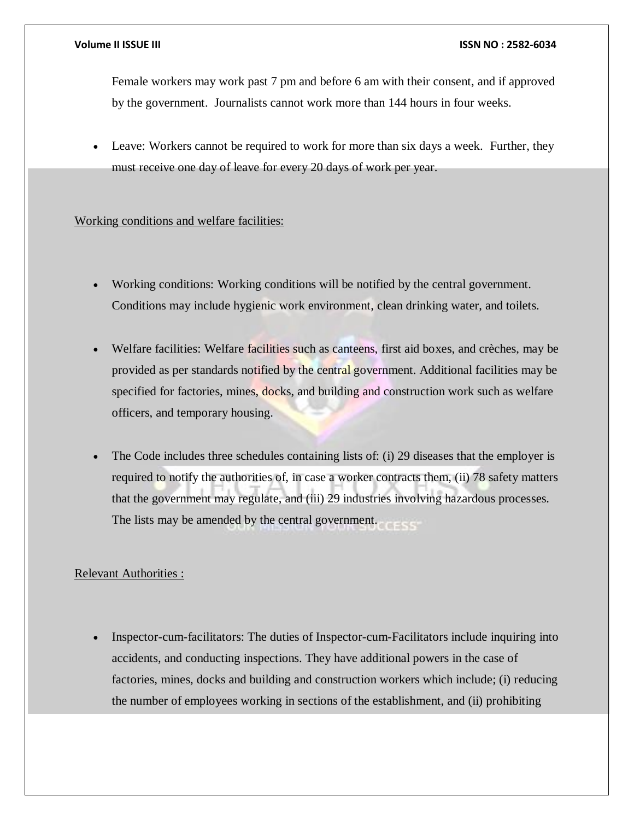Female workers may work past 7 pm and before 6 am with their consent, and if approved by the government. Journalists cannot work more than 144 hours in four weeks.

 Leave: Workers cannot be required to work for more than six days a week. Further, they must receive one day of leave for every 20 days of work per year.

## Working conditions and welfare facilities:

- Working conditions: Working conditions will be notified by the central government. Conditions may include hygienic work environment, clean drinking water, and toilets.
- Welfare facilities: Welfare facilities such as canteens, first aid boxes, and crèches, may be provided as per standards notified by the central government. Additional facilities may be specified for factories, mines, docks, and building and construction work such as welfare officers, and temporary housing.
- The Code includes three schedules containing lists of: (i) 29 diseases that the employer is required to notify the authorities of, in case a worker contracts them, (ii) 78 safety matters that the government may regulate, and (iii) 29 industries involving hazardous processes. The lists may be amended by the central government.

## Relevant Authorities :

 Inspector-cum-facilitators: The duties of Inspector-cum-Facilitators include inquiring into accidents, and conducting inspections. They have additional powers in the case of factories, mines, docks and building and construction workers which include; (i) reducing the number of employees working in sections of the establishment, and (ii) prohibiting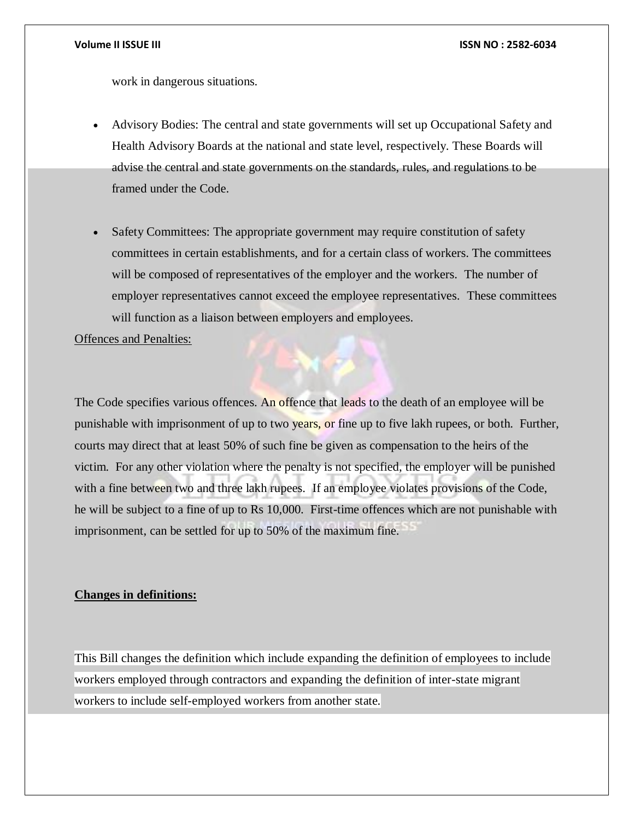work in dangerous situations.

- Advisory Bodies: The central and state governments will set up Occupational Safety and Health Advisory Boards at the national and state level, respectively. These Boards will advise the central and state governments on the standards, rules, and regulations to be framed under the Code.
- Safety Committees: The appropriate government may require constitution of safety committees in certain establishments, and for a certain class of workers. The committees will be composed of representatives of the employer and the workers. The number of employer representatives cannot exceed the employee representatives. These committees will function as a liaison between employers and employees.

Offences and Penalties:

The Code specifies various offences. An offence that leads to the death of an employee will be punishable with imprisonment of up to two years, or fine up to five lakh rupees, or both. Further, courts may direct that at least 50% of such fine be given as compensation to the heirs of the victim. For any other violation where the penalty is not specified, the employer will be punished with a fine between two and three lakh rupees. If an employee violates provisions of the Code, he will be subject to a fine of up to Rs 10,000. First-time offences which are not punishable with imprisonment, can be settled for up to 50% of the maximum fine.

#### **Changes in definitions:**

This Bill changes the definition which include expanding the definition of employees to include workers employed through contractors and expanding the definition of inter-state migrant workers to include self-employed workers from another state.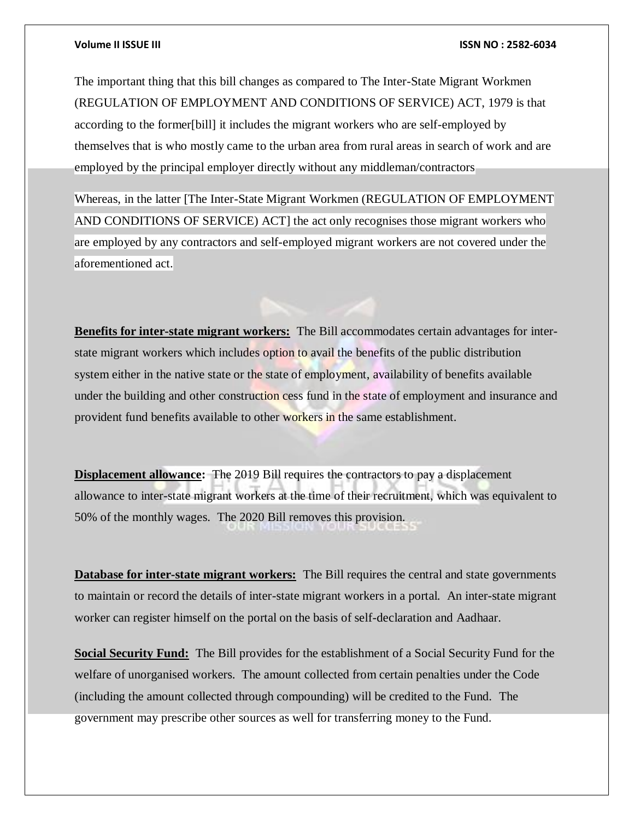The important thing that this bill changes as compared to The Inter-State Migrant Workmen (REGULATION OF EMPLOYMENT AND CONDITIONS OF SERVICE) ACT, 1979 is that according to the former[bill] it includes the migrant workers who are self-employed by themselves that is who mostly came to the urban area from rural areas in search of work and are employed by the principal employer directly without any middleman/contractors

Whereas, in the latter [The Inter-State Migrant Workmen (REGULATION OF EMPLOYMENT AND CONDITIONS OF SERVICE) ACT] the act only recognises those migrant workers who are employed by any contractors and self-employed migrant workers are not covered under the aforementioned act.

**Benefits for inter-state migrant workers:** The Bill accommodates certain advantages for interstate migrant workers which includes option to avail the benefits of the public distribution system either in the native state or the state of employment, availability of benefits available under the building and other construction cess fund in the state of employment and insurance and provident fund benefits available to other workers in the same establishment.

**Displacement allowance:** The 2019 Bill requires the contractors to pay a displacement allowance to inter-state migrant workers at the time of their recruitment, which was equivalent to 50% of the monthly wages. The 2020 Bill removes this provision.

**Database for inter-state migrant workers:** The Bill requires the central and state governments to maintain or record the details of inter-state migrant workers in a portal. An inter-state migrant worker can register himself on the portal on the basis of self-declaration and Aadhaar.

**Social Security Fund:** The Bill provides for the establishment of a Social Security Fund for the welfare of unorganised workers. The amount collected from certain penalties under the Code (including the amount collected through compounding) will be credited to the Fund. The government may prescribe other sources as well for transferring money to the Fund.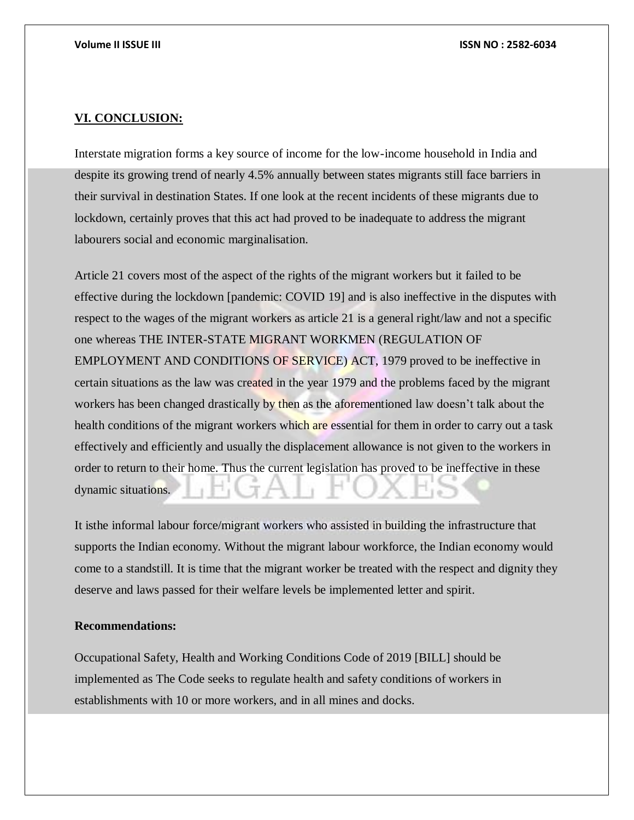#### **VI. CONCLUSION:**

Interstate migration forms a key source of income for the low-income household in India and despite its growing trend of nearly 4.5% annually between states migrants still face barriers in their survival in destination States. If one look at the recent incidents of these migrants due to lockdown, certainly proves that this act had proved to be inadequate to address the migrant labourers social and economic marginalisation.

Article 21 covers most of the aspect of the rights of the migrant workers but it failed to be effective during the lockdown [pandemic: COVID 19] and is also ineffective in the disputes with respect to the wages of the migrant workers as article 21 is a general right/law and not a specific one whereas THE INTER-STATE MIGRANT WORKMEN (REGULATION OF EMPLOYMENT AND CONDITIONS OF SERVICE) ACT, 1979 proved to be ineffective in certain situations as the law was created in the year 1979 and the problems faced by the migrant workers has been changed drastically by then as the aforementioned law doesn't talk about the health conditions of the migrant workers which are essential for them in order to carry out a task effectively and efficiently and usually the displacement allowance is not given to the workers in order to return to their home. Thus the current legislation has proved to be ineffective in these dynamic situations.

It isthe informal labour force/migrant workers who assisted in building the infrastructure that supports the Indian economy. Without the migrant labour workforce, the Indian economy would come to a standstill. It is time that the migrant worker be treated with the respect and dignity they deserve and laws passed for their welfare levels be implemented letter and spirit.

#### **Recommendations:**

Occupational Safety, Health and Working Conditions Code of 2019 [BILL] should be implemented as The Code seeks to regulate health and safety conditions of workers in establishments with 10 or more workers, and in all mines and docks.